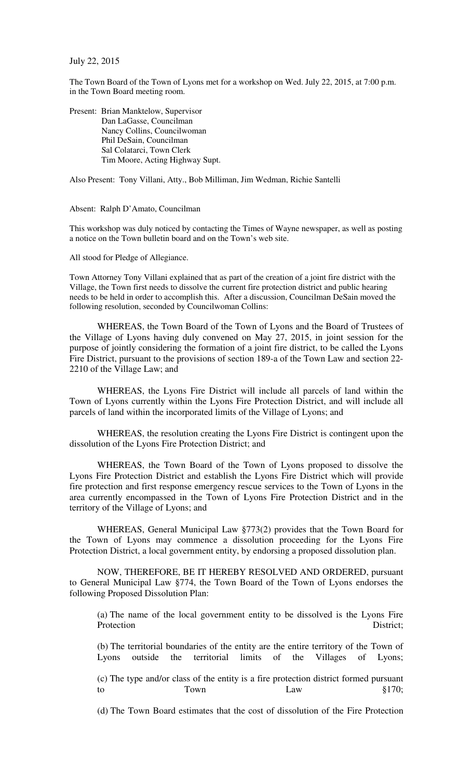July 22, 2015

The Town Board of the Town of Lyons met for a workshop on Wed. July 22, 2015, at 7:00 p.m. in the Town Board meeting room.

Present: Brian Manktelow, Supervisor Dan LaGasse, Councilman Nancy Collins, Councilwoman Phil DeSain, Councilman Sal Colatarci, Town Clerk Tim Moore, Acting Highway Supt.

Also Present: Tony Villani, Atty., Bob Milliman, Jim Wedman, Richie Santelli

Absent: Ralph D'Amato, Councilman

This workshop was duly noticed by contacting the Times of Wayne newspaper, as well as posting a notice on the Town bulletin board and on the Town's web site.

All stood for Pledge of Allegiance.

Town Attorney Tony Villani explained that as part of the creation of a joint fire district with the Village, the Town first needs to dissolve the current fire protection district and public hearing needs to be held in order to accomplish this. After a discussion, Councilman DeSain moved the following resolution, seconded by Councilwoman Collins:

WHEREAS, the Town Board of the Town of Lyons and the Board of Trustees of the Village of Lyons having duly convened on May 27, 2015, in joint session for the purpose of jointly considering the formation of a joint fire district, to be called the Lyons Fire District, pursuant to the provisions of section 189-a of the Town Law and section 22- 2210 of the Village Law; and

WHEREAS, the Lyons Fire District will include all parcels of land within the Town of Lyons currently within the Lyons Fire Protection District, and will include all parcels of land within the incorporated limits of the Village of Lyons; and

WHEREAS, the resolution creating the Lyons Fire District is contingent upon the dissolution of the Lyons Fire Protection District; and

WHEREAS, the Town Board of the Town of Lyons proposed to dissolve the Lyons Fire Protection District and establish the Lyons Fire District which will provide fire protection and first response emergency rescue services to the Town of Lyons in the area currently encompassed in the Town of Lyons Fire Protection District and in the territory of the Village of Lyons; and

WHEREAS, General Municipal Law §773(2) provides that the Town Board for the Town of Lyons may commence a dissolution proceeding for the Lyons Fire Protection District, a local government entity, by endorsing a proposed dissolution plan.

NOW, THEREFORE, BE IT HEREBY RESOLVED AND ORDERED, pursuant to General Municipal Law §774, the Town Board of the Town of Lyons endorses the following Proposed Dissolution Plan:

(a) The name of the local government entity to be dissolved is the Lyons Fire Protection District;

(b) The territorial boundaries of the entity are the entire territory of the Town of Lyons outside the territorial limits of the Villages of Lyons;

(c) The type and/or class of the entity is a fire protection district formed pursuant to Town Law Law  $§170;$ 

(d) The Town Board estimates that the cost of dissolution of the Fire Protection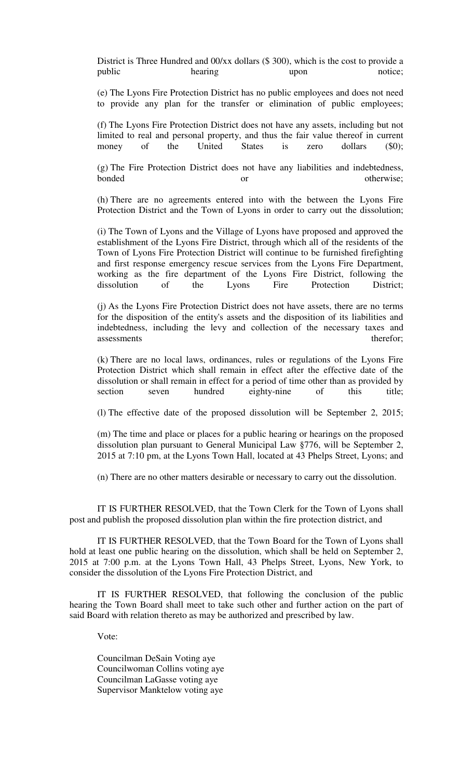District is Three Hundred and 00/xx dollars (\$ 300), which is the cost to provide a public hearing hearing upon notice;

(e) The Lyons Fire Protection District has no public employees and does not need to provide any plan for the transfer or elimination of public employees;

(f) The Lyons Fire Protection District does not have any assets, including but not limited to real and personal property, and thus the fair value thereof in current money of the United States is zero dollars (\$0);

(g) The Fire Protection District does not have any liabilities and indebtedness, bonded or otherwise:

(h) There are no agreements entered into with the between the Lyons Fire Protection District and the Town of Lyons in order to carry out the dissolution;

(i) The Town of Lyons and the Village of Lyons have proposed and approved the establishment of the Lyons Fire District, through which all of the residents of the Town of Lyons Fire Protection District will continue to be furnished firefighting and first response emergency rescue services from the Lyons Fire Department, working as the fire department of the Lyons Fire District, following the dissolution of the Lyons Fire Protection District; dissolution of the Lyons Fire Protection District;

(j) As the Lyons Fire Protection District does not have assets, there are no terms for the disposition of the entity's assets and the disposition of its liabilities and indebtedness, including the levy and collection of the necessary taxes and assessments therefor;

(k) There are no local laws, ordinances, rules or regulations of the Lyons Fire Protection District which shall remain in effect after the effective date of the dissolution or shall remain in effect for a period of time other than as provided by section seven hundred eighty-nine of this title;

(l) The effective date of the proposed dissolution will be September 2, 2015;

(m) The time and place or places for a public hearing or hearings on the proposed dissolution plan pursuant to General Municipal Law §776, will be September 2, 2015 at 7:10 pm, at the Lyons Town Hall, located at 43 Phelps Street, Lyons; and

(n) There are no other matters desirable or necessary to carry out the dissolution.

IT IS FURTHER RESOLVED, that the Town Clerk for the Town of Lyons shall post and publish the proposed dissolution plan within the fire protection district, and

IT IS FURTHER RESOLVED, that the Town Board for the Town of Lyons shall hold at least one public hearing on the dissolution, which shall be held on September 2, 2015 at 7:00 p.m. at the Lyons Town Hall, 43 Phelps Street, Lyons, New York, to consider the dissolution of the Lyons Fire Protection District, and

IT IS FURTHER RESOLVED, that following the conclusion of the public hearing the Town Board shall meet to take such other and further action on the part of said Board with relation thereto as may be authorized and prescribed by law.

Vote:

Councilman DeSain Voting aye Councilwoman Collins voting aye Councilman LaGasse voting aye Supervisor Manktelow voting aye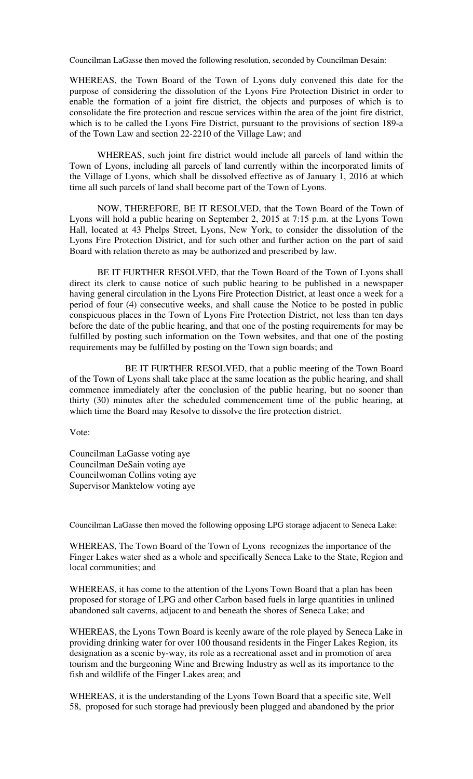Councilman LaGasse then moved the following resolution, seconded by Councilman Desain:

WHEREAS, the Town Board of the Town of Lyons duly convened this date for the purpose of considering the dissolution of the Lyons Fire Protection District in order to enable the formation of a joint fire district, the objects and purposes of which is to consolidate the fire protection and rescue services within the area of the joint fire district, which is to be called the Lyons Fire District, pursuant to the provisions of section 189-a of the Town Law and section 22-2210 of the Village Law; and

WHEREAS, such joint fire district would include all parcels of land within the Town of Lyons, including all parcels of land currently within the incorporated limits of the Village of Lyons, which shall be dissolved effective as of January 1, 2016 at which time all such parcels of land shall become part of the Town of Lyons.

NOW, THEREFORE, BE IT RESOLVED, that the Town Board of the Town of Lyons will hold a public hearing on September 2, 2015 at 7:15 p.m. at the Lyons Town Hall, located at 43 Phelps Street, Lyons, New York, to consider the dissolution of the Lyons Fire Protection District, and for such other and further action on the part of said Board with relation thereto as may be authorized and prescribed by law.

BE IT FURTHER RESOLVED, that the Town Board of the Town of Lyons shall direct its clerk to cause notice of such public hearing to be published in a newspaper having general circulation in the Lyons Fire Protection District, at least once a week for a period of four (4) consecutive weeks, and shall cause the Notice to be posted in public conspicuous places in the Town of Lyons Fire Protection District, not less than ten days before the date of the public hearing, and that one of the posting requirements for may be fulfilled by posting such information on the Town websites, and that one of the posting requirements may be fulfilled by posting on the Town sign boards; and

 BE IT FURTHER RESOLVED, that a public meeting of the Town Board of the Town of Lyons shall take place at the same location as the public hearing, and shall commence immediately after the conclusion of the public hearing, but no sooner than thirty (30) minutes after the scheduled commencement time of the public hearing, at which time the Board may Resolve to dissolve the fire protection district.

Vote:

Councilman LaGasse voting aye Councilman DeSain voting aye Councilwoman Collins voting aye Supervisor Manktelow voting aye

Councilman LaGasse then moved the following opposing LPG storage adjacent to Seneca Lake:

WHEREAS, The Town Board of the Town of Lyons recognizes the importance of the Finger Lakes water shed as a whole and specifically Seneca Lake to the State, Region and local communities; and

WHEREAS, it has come to the attention of the Lyons Town Board that a plan has been proposed for storage of LPG and other Carbon based fuels in large quantities in unlined abandoned salt caverns, adjacent to and beneath the shores of Seneca Lake; and

WHEREAS, the Lyons Town Board is keenly aware of the role played by Seneca Lake in providing drinking water for over 100 thousand residents in the Finger Lakes Region, its designation as a scenic by-way, its role as a recreational asset and in promotion of area tourism and the burgeoning Wine and Brewing Industry as well as its importance to the fish and wildlife of the Finger Lakes area; and

WHEREAS, it is the understanding of the Lyons Town Board that a specific site, Well 58, proposed for such storage had previously been plugged and abandoned by the prior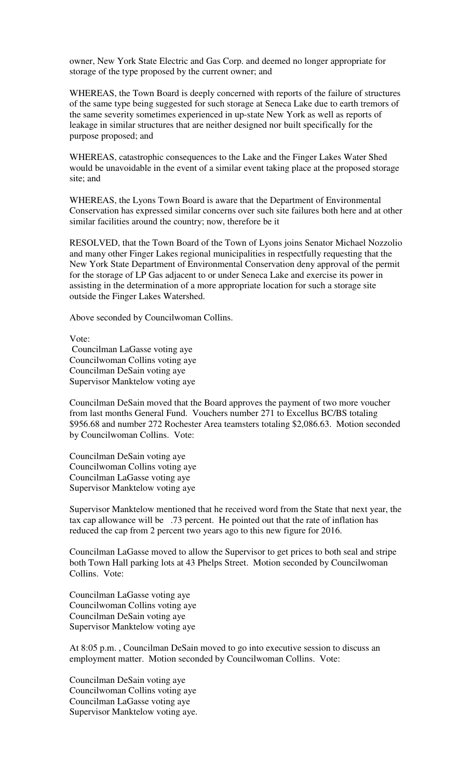owner, New York State Electric and Gas Corp. and deemed no longer appropriate for storage of the type proposed by the current owner; and

WHEREAS, the Town Board is deeply concerned with reports of the failure of structures of the same type being suggested for such storage at Seneca Lake due to earth tremors of the same severity sometimes experienced in up-state New York as well as reports of leakage in similar structures that are neither designed nor built specifically for the purpose proposed; and

WHEREAS, catastrophic consequences to the Lake and the Finger Lakes Water Shed would be unavoidable in the event of a similar event taking place at the proposed storage site; and

WHEREAS, the Lyons Town Board is aware that the Department of Environmental Conservation has expressed similar concerns over such site failures both here and at other similar facilities around the country; now, therefore be it

RESOLVED, that the Town Board of the Town of Lyons joins Senator Michael Nozzolio and many other Finger Lakes regional municipalities in respectfully requesting that the New York State Department of Environmental Conservation deny approval of the permit for the storage of LP Gas adjacent to or under Seneca Lake and exercise its power in assisting in the determination of a more appropriate location for such a storage site outside the Finger Lakes Watershed.

Above seconded by Councilwoman Collins.

Vote: Councilman LaGasse voting aye Councilwoman Collins voting aye Councilman DeSain voting aye Supervisor Manktelow voting aye

Councilman DeSain moved that the Board approves the payment of two more voucher from last months General Fund. Vouchers number 271 to Excellus BC/BS totaling \$956.68 and number 272 Rochester Area teamsters totaling \$2,086.63. Motion seconded by Councilwoman Collins. Vote:

Councilman DeSain voting aye Councilwoman Collins voting aye Councilman LaGasse voting aye Supervisor Manktelow voting aye

Supervisor Manktelow mentioned that he received word from the State that next year, the tax cap allowance will be .73 percent. He pointed out that the rate of inflation has reduced the cap from 2 percent two years ago to this new figure for 2016.

Councilman LaGasse moved to allow the Supervisor to get prices to both seal and stripe both Town Hall parking lots at 43 Phelps Street. Motion seconded by Councilwoman Collins. Vote:

Councilman LaGasse voting aye Councilwoman Collins voting aye Councilman DeSain voting aye Supervisor Manktelow voting aye

At 8:05 p.m. , Councilman DeSain moved to go into executive session to discuss an employment matter. Motion seconded by Councilwoman Collins. Vote:

Councilman DeSain voting aye Councilwoman Collins voting aye Councilman LaGasse voting aye Supervisor Manktelow voting aye.